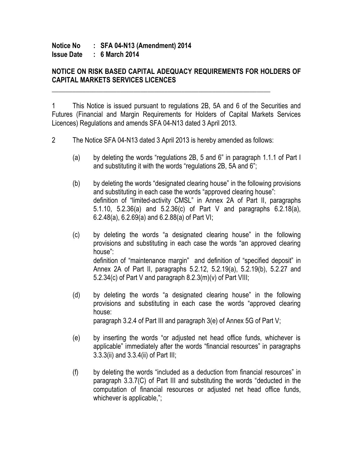## **Notice No : SFA 04-N13 (Amendment) 2014 Issue Date : 6 March 2014**

## **NOTICE ON RISK BASED CAPITAL ADEQUACY REQUIREMENTS FOR HOLDERS OF CAPITAL MARKETS SERVICES LICENCES**

1 This Notice is issued pursuant to regulations 2B, 5A and 6 of the Securities and Futures (Financial and Margin Requirements for Holders of Capital Markets Services Licences) Regulations and amends SFA 04-N13 dated 3 April 2013.

2 The Notice SFA 04-N13 dated 3 April 2013 is hereby amended as follows:

\_\_\_\_\_\_\_\_\_\_\_\_\_\_\_\_\_\_\_\_\_\_\_\_\_\_\_\_\_\_\_\_\_\_\_\_\_\_\_\_\_\_\_\_\_\_\_\_\_\_\_\_\_\_\_\_\_\_\_\_\_\_\_\_

- (a) by deleting the words "regulations 2B, 5 and 6" in paragraph 1.1.1 of Part I and substituting it with the words "regulations 2B, 5A and 6";
- (b) by deleting the words "designated clearing house" in the following provisions and substituting in each case the words "approved clearing house": definition of "limited-activity CMSL" in Annex 2A of Part II, paragraphs 5.1.10, 5.2.36(a) and 5.2.36(c) of Part V and paragraphs 6.2.18(a), 6.2.48(a), 6.2.69(a) and 6.2.88(a) of Part VI;
- (c) by deleting the words "a designated clearing house" in the following provisions and substituting in each case the words "an approved clearing house": definition of "maintenance margin" and definition of "specified deposit" in Annex 2A of Part II, paragraphs 5.2.12, 5.2.19(a), 5.2.19(b), 5.2.27 and 5.2.34(c) of Part V and paragraph 8.2.3(m)(v) of Part VIII;
- (d) by deleting the words "a designated clearing house" in the following provisions and substituting in each case the words "approved clearing house: paragraph 3.2.4 of Part III and paragraph 3(e) of Annex 5G of Part V;
- (e) by inserting the words "or adjusted net head office funds, whichever is applicable" immediately after the words "financial resources" in paragraphs 3.3.3(ii) and 3.3.4(ii) of Part III;
- (f) by deleting the words "included as a deduction from financial resources" in paragraph 3.3.7(C) of Part III and substituting the words "deducted in the computation of financial resources or adjusted net head office funds, whichever is applicable,";